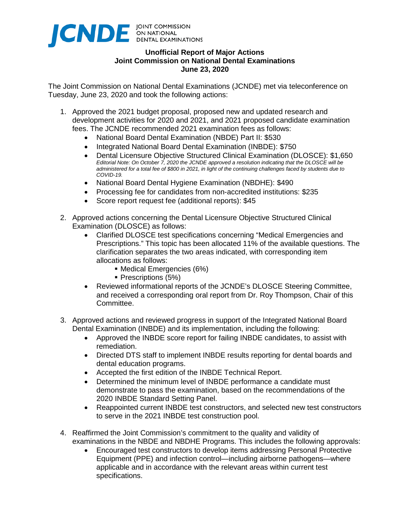

## **Unofficial Report of Major Actions Joint Commission on National Dental Examinations June 23, 2020**

The Joint Commission on National Dental Examinations (JCNDE) met via teleconference on Tuesday, June 23, 2020 and took the following actions:

- 1. Approved the 2021 budget proposal, proposed new and updated research and development activities for 2020 and 2021, and 2021 proposed candidate examination fees. The JCNDE recommended 2021 examination fees as follows:
	- National Board Dental Examination (NBDE) Part II: \$530
	- Integrated National Board Dental Examination (INBDE): \$750
	- Dental Licensure Objective Structured Clinical Examination (DLOSCE): \$1,650 *Editorial Note: On October 7, 2020 the JCNDE approved a resolution indicating that the DLOSCE will be administered for a total fee of \$800 in 2021, in light of the continuing challenges faced by students due to COVID-19.*
	- National Board Dental Hygiene Examination (NBDHE): \$490
	- Processing fee for candidates from non-accredited institutions: \$235
	- Score report request fee (additional reports): \$45
- 2. Approved actions concerning the Dental Licensure Objective Structured Clinical Examination (DLOSCE) as follows:
	- Clarified DLOSCE test specifications concerning "Medical Emergencies and Prescriptions." This topic has been allocated 11% of the available questions. The clarification separates the two areas indicated, with corresponding item allocations as follows:
		- Medical Emergencies (6%)
		- **Prescriptions (5%)**
	- Reviewed informational reports of the JCNDE's DLOSCE Steering Committee, and received a corresponding oral report from Dr. Roy Thompson, Chair of this Committee.
- 3. Approved actions and reviewed progress in support of the Integrated National Board Dental Examination (INBDE) and its implementation, including the following:
	- Approved the INBDE score report for failing INBDE candidates, to assist with remediation.
	- Directed DTS staff to implement INBDE results reporting for dental boards and dental education programs.
	- Accepted the first edition of the INBDE Technical Report.
	- Determined the minimum level of INBDE performance a candidate must demonstrate to pass the examination, based on the recommendations of the 2020 INBDE Standard Setting Panel.
	- Reappointed current INBDE test constructors, and selected new test constructors to serve in the 2021 INBDE test construction pool.
- 4. Reaffirmed the Joint Commission's commitment to the quality and validity of examinations in the NBDE and NBDHE Programs. This includes the following approvals:
	- Encouraged test constructors to develop items addressing Personal Protective Equipment (PPE) and infection control—including airborne pathogens—where applicable and in accordance with the relevant areas within current test specifications.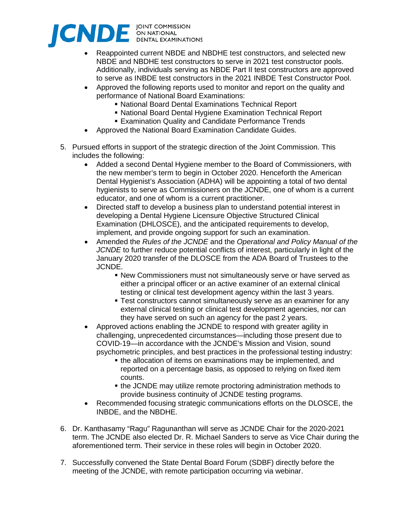

- Reappointed current NBDE and NBDHE test constructors, and selected new NBDE and NBDHE test constructors to serve in 2021 test constructor pools. Additionally, individuals serving as NBDE Part II test constructors are approved to serve as INBDE test constructors in the 2021 INBDE Test Constructor Pool.
- Approved the following reports used to monitor and report on the quality and performance of National Board Examinations:
	- National Board Dental Examinations Technical Report
	- National Board Dental Hygiene Examination Technical Report
	- **Examination Quality and Candidate Performance Trends**
- Approved the National Board Examination Candidate Guides.
- 5. Pursued efforts in support of the strategic direction of the Joint Commission. This includes the following:
	- Added a second Dental Hygiene member to the Board of Commissioners, with the new member's term to begin in October 2020. Henceforth the American Dental Hygienist's Association (ADHA) will be appointing a total of two dental hygienists to serve as Commissioners on the JCNDE, one of whom is a current educator, and one of whom is a current practitioner.
	- Directed staff to develop a business plan to understand potential interest in developing a Dental Hygiene Licensure Objective Structured Clinical Examination (DHLOSCE), and the anticipated requirements to develop, implement, and provide ongoing support for such an examination.
	- Amended the *Rules of the JCNDE* and the *Operational and Policy Manual of the JCNDE* to further reduce potential conflicts of interest, particularly in light of the January 2020 transfer of the DLOSCE from the ADA Board of Trustees to the JCNDE.
		- New Commissioners must not simultaneously serve or have served as either a principal officer or an active examiner of an external clinical testing or clinical test development agency within the last 3 years.
		- **Test constructors cannot simultaneously serve as an examiner for any** external clinical testing or clinical test development agencies, nor can they have served on such an agency for the past 2 years.
	- Approved actions enabling the JCNDE to respond with greater agility in challenging, unprecedented circumstances—including those present due to COVID-19—in accordance with the JCNDE's Mission and Vision, sound psychometric principles, and best practices in the professional testing industry:
		- the allocation of items on examinations may be implemented, and reported on a percentage basis, as opposed to relying on fixed item counts.
		- the JCNDE may utilize remote proctoring administration methods to provide business continuity of JCNDE testing programs.
	- Recommended focusing strategic communications efforts on the DLOSCE, the INBDE, and the NBDHE.
- 6. Dr. Kanthasamy "Ragu" Ragunanthan will serve as JCNDE Chair for the 2020-2021 term. The JCNDE also elected Dr. R. Michael Sanders to serve as Vice Chair during the aforementioned term. Their service in these roles will begin in October 2020.
- 7. Successfully convened the State Dental Board Forum (SDBF) directly before the meeting of the JCNDE, with remote participation occurring via webinar.